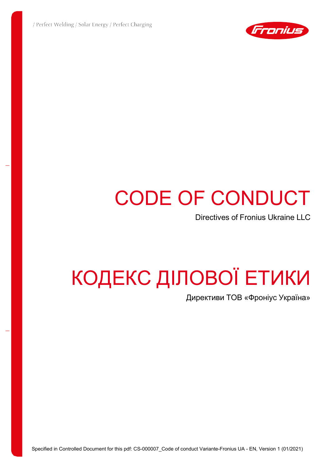

# CODE OF CONDUCT

Directives of Fronius Ukraine LLC

# КОДЕКС ДІЛОВОЇ ЕТИКИ

Директиви ТОВ «Фроніус Україна»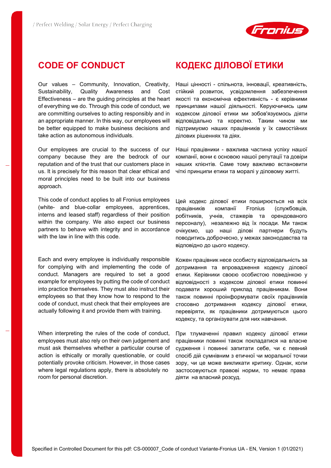

## **CODE OF CONDUCT**

Our values – Community, Innovation, Creativity, Sustainability, Quality Awareness and Cost Effectiveness – are the guiding principles at the heart of everything we do. Through this code of conduct, we are committing ourselves to acting responsibly and in an appropriate manner. In this way, our employees will be better equipped to make business decisions and take action as autonomous individuals.

Our employees are crucial to the success of our company because they are the bedrock of our reputation and of the trust that our customers place in us. It is precisely for this reason that clear ethical and moral principles need to be built into our business approach.

This code of conduct applies to all Fronius employees (white- and blue-collar employees, apprentices, interns and leased staff) regardless of their position within the company. We also expect our business partners to behave with integrity and in accordance with the law in line with this code.

Each and every employee is individually responsible for complying with and implementing the code of conduct. Managers are required to set a good example for employees by putting the code of conduct into practice themselves. They must also instruct their employees so that they know how to respond to the code of conduct, must check that their employees are actually following it and provide them with training.

When interpreting the rules of the code of conduct, employees must also rely on their own judgement and must ask themselves whether a particular course of action is ethically or morally questionable, or could potentially provoke criticism. However, in those cases where legal regulations apply, there is absolutely no room for personal discretion.

# **КОДЕКС ДІЛОВОЇ ЕТИКИ**

Наші цінності - спільнота, інновації, креативність, стійкий розвиток, усвідомлення забезпечення якості та економічна ефективність - є керівними принципами нашої діяльності. Керуючичись цим кодексом ділової етики ми зобов'язуємось діяти відповідально та коректно. Таким чином ми підтримуємо наших працівників у їх самостійних ділових рішеннях та діях.

Наші працівники - важлива частина успіху нашої компанії, вони є основою нашої репутації та довіри наших клієнтів. Саме тому важливо встановити чіткі принципи етики та моралі у діловому житті.

Цей кодекс ділової етики поширюється на всіх працівників компанії Fronius (службовців, робітників, учнів, стажерів та орендованого персоналу), незалежно від їх посади. Ми також очікуємо, що наші ділові партнери будуть поводитись доброчесно, у межах законодавства та відповідно до цього кодексу.

Кожен працівник несе особисту відповідальність за дотримання та впровадження кодексу ділової етики. Керівники своєю особистою поведінкою у відповідності з кодексом ділової етики повинні подавати хороший приклад працівникам. Вони також повинні проінформувати своїх працівників стосовно дотримання кодексу ділової етики, перевіряти, як працівники дотримуються цього кодексу, та організувати для них навчання.

При тлумаченні правил кодексу ділової етики працівники повинні також покладатися на власне судження і повинні запитати себе, чи є певний спосіб дій сумнівним з етичної чи моральної точки зору, чи це може викликати критику. Однак, коли застосовуються правові норми, то немає права діяти на власний розсуд.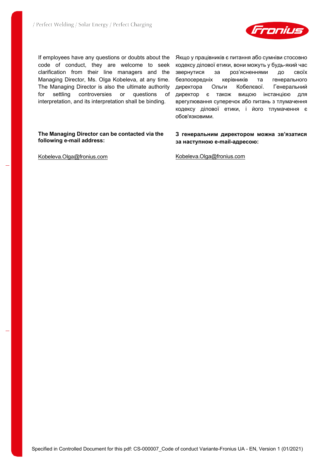

If employees have any questions or doubts about the code of conduct, they are welcome to seek clarification from their line managers and the Managing Director, Ms. Olga Kobeleva, at any time. The Managing Director is also the ultimate authority for settling controversies or questions of interpretation, and its interpretation shall be binding.

**The Managing Director can be contacted via the following e-mail address:**

[Kobeleva.Olga@fronius.com](mailto:Kobeleva.Olga@fronius.com)

Якщо у працівників є питання або сумніви стосовно кодексу ділової етики, вони можуть у будь-який час звернутися за роз'ясненнями до своїх безпосередніх керівників та генерального директора Ольги Кобелєвої. Генеральний директор є також вищою інстанцією для врегулювання суперечок або питань з тлумачення кодексу ділової етики, і його тлумачення є обов'язковими.

#### **З генеральним директором можна зв'язатися за наступною e-mail-адресою:**

[Kobeleva.Olga@fronius.com](mailto:Kobeleva.Olga@fronius.com)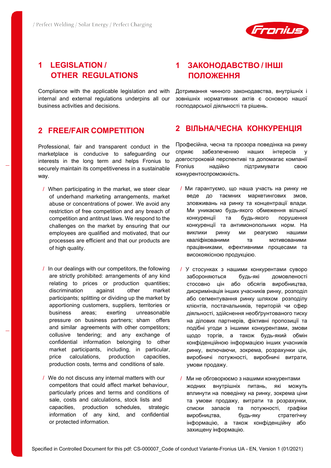

## **1 LEGISLATION / OTHER REGULATIONS**

Compliance with the applicable legislation and with internal and external regulations underpins all our business activities and decisions.

#### **2 FREE/FAIR COMPETITION**

Professional, fair and transparent conduct in the marketplace is conducive to safeguarding our interests in the long term and helps Fronius to securely maintain its competitiveness in a sustainable way.

- / When participating in the market, we steer clear of underhand marketing arrangements, market abuse or concentrations of power. We avoid any restriction of free competition and any breach of competition and antitrust laws. We respond to the challenges on the market by ensuring that our employees are qualified and motivated, that our processes are efficient and that our products are of high quality.
- / In our dealings with our competitors, the following are strictly prohibited: arrangements of any kind relating to prices or production quantities; discrimination against other market participants; splitting or dividing up the market by apportioning customers, suppliers, territories or business areas; exerting unreasonable pressure on business partners; sham offers and similar agreements with other competitors; collusive tendering; and any exchange of confidential information belonging to other market participants, including, in particular, price calculations, production capacities, production costs, terms and conditions of sale.
- / We do not discuss any internal matters with our competitors that could affect market behaviour, particularly prices and terms and conditions of sale, costs and calculations, stock lists and capacities, production schedules, strategic information of any kind, and confidential or protected information.

## **1 ЗАКОНОДАВСТВО / ІНШІ ПОЛОЖЕННЯ**

Дотримання чинного законодавства, внутрішніх і зовнішніх нормативних актів є основою нашої господарської діяльності та рішень.

#### **2 ВІЛЬНА/ЧЕСНА КОНКУРЕНЦІЯ**

Професійна, чесна та прозора поведінка на ринку сприяє забезпеченню наших інтересів у довгостроковій перспективі та допомагає компанії Fronius надійно підтримувати свою конкурентоспроможність.

- / Ми гарантуємо, що наша участь на ринку не веде до таємних маркетингових змов, зловживань на ринку та концентрації влади. Ми уникаємо будь-якого обмеження вільної конкуренції та будь-якого порушення конкуренції та антимонопольних норм. На виклики ринку ми реагуємо нашими кваліфікованими та мотивованими працівниками, ефективними процесами та високоякісною продукцією.
- / У стосунках з нашими конкурентами суворо забороняються будь-які домовленості стосовно цін або обсягів виробництва, дискримінація інших учасників ринку, розподіл або сегментування ринку шляхом розподілу клієнтів, постачальників, територій чи сфер діяльності, здійснення необґрунтованого тиску на ділових партнерів, фіктивні пропозиції та подібні угоди з іншими конкурентами, змови щодо торгів, а також будь-який обмін конфіденційною інформацією інших учасників ринку, включаючи, зокрема, розрахунки цін, виробничі потужності, виробничі витрати, умови продажу.
- / Ми не обговорюємо з нашими конкурентами жодних внутрішніх питань, які можуть вплинути на поведінку на ринку, зокрема ціни та умови продажу, витрати та розрахунки, списки запасів та потужності, графіки виробництва, будь-яку стратегічну інформацію, а також конфіденційну або захищену інформацію.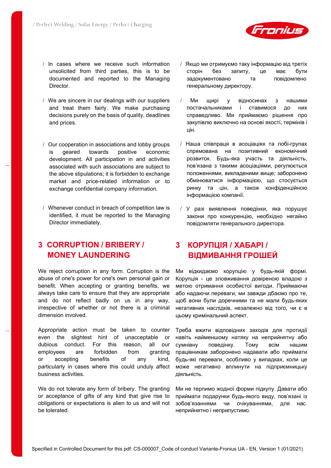

- / We are sincere in our dealings with our suppliers and treat them fairly. We make purchasing decisions purely on the basis of quality, deadlines and prices.
- / Our cooperation in associations and lobby groups is geared towards positive economic development. All participation in and activities associated with such associations are subject to the above stipulations; it is forbidden to exchange market and price-related information or to exchange confidential company information.
- / Whenever conduct in breach of competition law is identified, it must be reported to the Managing Director immediately.

## **3 CORRUPTION / BRIBERY / MONEY LAUNDERING**

We reject corruption in any form. Corruption is the abuse of one's power for one's own personal gain or benefit. When accepting or granting benefits, we always take care to ensure that they are appropriate and do not reflect badly on us in any way, irrespective of whether or not there is a criminal dimension involved.

Appropriate action must be taken to counter even the slightest hint of unacceptable or dubious conduct. For this reason, all our employees are forbidden from granting or accepting benefits of any kind, particularly in cases where this could unduly affect business activities.

We do not tolerate any form of bribery. The granting or acceptance of gifts of any kind that give rise to obligations or expectations is alien to us and will not be tolerated.

- / Якщо ми отримуємо таку інформацію від третіх сторін без запиту, це має бути задокументовано та повідомлено генеральному директору.
- / Ми щирі у відносинах з нашими постачальниками і ставимося до них справедливо. Ми приймаємо рішення про закупівлю виключно на основі якості, термінів і цін.
- / Наша співпраця в асоціаціях та лобі-групах спрямована на позитивний економічний розвиток. Будь-яка участь та діяльність, пов'язана з такими асоціаціями, регулюється положеннями, викладеними вище; заборонено обмінюватися інформацією, що стосується ринку та цін, а також конфіденційною інформацією компанії.
- / У разі виявлення поведінки, яка порушує закони про конкуренцію, необхідно негайно повідомляти генерального директора.

### **3 КОРУПЦІЯ / ХАБАРІ / ВІДМИВАННЯ ГРОШЕЙ**

Ми відкидаємо корупцію у будь-якій формі. Корупція - це зловживання довіреною владою з метою отримання особистої вигоди. Приймаючи або надаючи переваги, ми завжди дбаємо про те, щоб вони були доречними та не мали будь-яких негативних наслідків, незалежно від того, чи є в цьому кримінальний аспект.

Треба вжити відповідних заходів для протидії навіть найменшому натяку на неприйнятну або сумнівну поведінку. Тому всім нашим працівникам заборонено надавати або приймати будь-які переваги, особливо у випадках, коли це може негативно вплинути на підприємницьку діяльність.

Ми не терпимо жодної форми підкупу. Давати або приймати подарунки будь-якого виду, пов'язані із зобов'язаннями чи очікуваннями, для нас неприйнятно і неприпустимо.

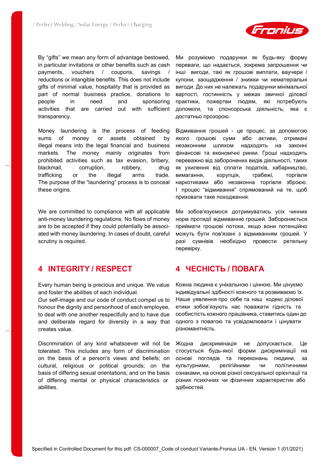By "gifts" we mean any form of advantage bestowed, in particular invitations or other benefits such as cash payments, vouchers / coupons, savings / reductions or intangible benefits. This does not include gifts of minimal value, hospitality that is provided as part of normal business practice, donations to people in need and sponsoring activities that are carried out with sufficient transparency.

Money laundering is the process of feeding sums of money or assets obtained by illegal means into the legal financial and business markets. The money mainly originates from prohibited activities such as tax evasion, bribery, blackmail, corruption, robbery, drug trafficking or the illegal arms trade. The purpose of the "laundering" process is to conceal these origins.

We are committed to compliance with all applicable anti-money laundering regulations. No flows of money are to be accepted if they could potentially be associated with money laundering. In cases of doubt, careful scrutiny is required.

#### **4 INTEGRITY / RESPECT**

Every human being is precious and unique. We value and foster the abilities of each individual.

Our self-image and our code of conduct compel us to honour the dignity and personhood of each employee, to deal with one another respectfully and to have due and deliberate regard for diversity in a way that creates value.

Discrimination of any kind whatsoever will not be tolerated. This includes any form of discrimination on the basis of a person's views and beliefs; on cultural, religious or political grounds; on the basis of differing sexual orientations; and on the basis of differing mental or physical characteristics or abilities.

Ми розуміємо подарунки як будь-яку форму переваги, що надається, зокрема запрошення чи інші вигоди, такі як грошові виплати, ваучери / купони, заощадження / знижки чи нематеріальні вигоди. До них не належать подарунки мінімальної вартості, гостинність у межах звичної ділової практики, пожертви людям, які потребують допомоги, та спонсорська діяльність, яка є достатньо прозорою.

Відмивання грошей - це процес, за допомогою якого грошові суми або активи, отримані незаконним шляхом надходять на законні фінансові та економічні ринки. Гроші надходять переважно від заборонених видів діяльності, таких як ухилення від сплати податків, хабарництво, вимагання, корупція, грабежі, торгівля наркотиками або незаконна торгівля зброєю. І процес "відмивання" спрямований на те, щоб приховати таке походження.

Ми зобов'язуємося дотримуватись усіх чинних норм протидії відмиванню грошей. Забороняється приймати грошові потоки, якщо вони потенційно можуть бути пов'язані з відмиванням грошей. У разі сумнівів необхідно провести ретельну перевірку.

#### **4 ЧЕСНІСТЬ / ПОВАГА**

Кожна людина є унікальною і цінною. Ми цінуємо індивідуальні здібності кожного та розвиваємо їх. Наше уявлення про себе та наш кодекс ділової етики зобов'язують нас поважати гідність та особистість кожного працівника, ставитись один до одного з повагою та усвідомлювати і цінувати різноманітність.

Жодна дискримінація не допускається. Це стосується будь-якої форми дискримінації на основі поглядів та переконань людини, за культурними, релігійними чи політичними ознаками, на основі різної сексуальної орієнтації та різних психічних чи фізичних характеристик або здібностей.

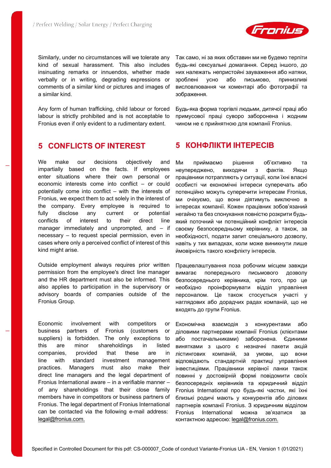

Similarly, under no circumstances will we tolerate any kind of sexual harassment. This also includes insinuating remarks or innuendos, whether made verbally or in writing, degrading expressions or comments of a similar kind or pictures and images of a similar kind.

Any form of human trafficking, child labour or forced labour is strictly prohibited and is not acceptable to Fronius even if only evident to a rudimentary extent.

#### **5 CONFLICTS OF INTEREST**

We make our decisions objectively and impartially based on the facts. If employees enter situations where their own personal or economic interests come into conflict – or could potentially come into conflict – with the interests of Fronius, we expect them to act solely in the interest of the company. Every employee is required to fully disclose any current or potential conflicts of interest to their direct line manager immediately and unprompted, and – if necessary – to request special permission, even in cases where only a perceived conflict of interest of this kind might arise.

Outside employment always requires prior written permission from the employee's direct line manager and the HR department must also be informed. This also applies to participation in the supervisory or advisory boards of companies outside of the Fronius Group.

Economic involvement with competitors or business partners of Fronius (customers or suppliers) is forbidden. The only exceptions to this are minor shareholdings in listed companies, provided that these are in line with standard investment management practices. Managers must also make their direct line managers and the legal department of Fronius International aware – in a verifiable manner – of any shareholdings that their close family members have in competitors or business partners of Fronius. The legal department of Fronius International can be contacted via the following e-mail address: [legal@fronius.com.](mailto:legal@fronius.com)

Так само, ні за яких обставин ми не будемо терпіти будь-які сексуальні домагання. Серед іншого, до них належать непристойні зауваження або натяки, зроблені усно або письмово, принизливі висловлювання чи коментарі або фотографії та зображення.

Будь-яка форма торгівлі людьми, дитячої праці або примусової праці суворо заборонена і жодним чином не є прийнятною для компанії Fronius.

#### **5 КОНФЛІКТИ ІНТЕРЕСІВ**

Ми приймаємо рішення об'єктивно та неупереджено, виходячи з фактів. Якщо працівники потрапляють у ситуації, коли їхні власні особисті чи економічні інтереси суперечать або потенційно можуть суперечити інтересам Fronius, ми очікуємо, що вони діятимуть виключно в інтересах компанії. Кожен працівник зобов'язаний негайно та без спонукання повністю розкрити будьякий поточний чи потенційний конфлікт інтересів своєму безпосередньому керівнику, а також, за необхідності, подати запит спеціального дозволу, навіть у тих випадках, коли може виникнути лише ймовірність такого конфлікту інтересів.

Працевлаштування поза робочим місцем завжди вимагає попереднього письмового дозволу безпосереднього керівника, крім того, про це необхідно проінформувати відділ управління персоналом. Це також стосується участі у наглядових або дорадчих радах компаній, що не входять до групи Fronius.

Економічна взаємодія з конкурентами або діловими партнерами компанії Fronius (клієнтами або постачальниками) заборонена. Єдиними винятками з цього є незначні пакети акцій лістингових компаній, за умови, що вони відповідають стандартній практиці управління інвестиціями. Працівники керівної ланки також повинні у достовірній формі повідомити своїх безпосередніх керівників та юридичний відділ Fronius International про будь-які частки, які їхні близькі родичі мають у конкурентів або ділових партнерів компанії Fronius. З юридичним відділом Fronius International можна зв'язатися за контактною адресою: [legal@fronius.com.](mailto:legal@fronius.com)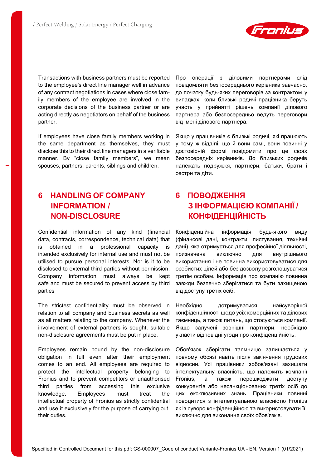

Transactions with business partners must be reported to the employee's direct line manager well in advance of any contract negotiations in cases where close family members of the employee are involved in the corporate decisions of the business partner or are acting directly as negotiators on behalf of the business partner.

If employees have close family members working in the same department as themselves, they must disclose this to their direct line managers in a verifiable manner. By "close family members", we mean spouses, partners, parents, siblings and children.

## **6 HANDLING OF COMPANY INFORMATION / NON-DISCLOSURE**

Confidential information of any kind (financial data, contracts, correspondence, technical data) that is obtained in a professional capacity is intended exclusively for internal use and must not be utilised to pursue personal interests. Nor is it to be disclosed to external third parties without permission. Company information must always be kept safe and must be secured to prevent access by third parties

The strictest confidentiality must be observed in relation to all company and business secrets as well as all matters relating to the company. Whenever the involvement of external partners is sought, suitable non-disclosure agreements must be put in place.

Employees remain bound by the non-disclosure obligation in full even after their employment comes to an end. All employees are required to protect the intellectual property belonging to Fronius and to prevent competitors or unauthorised third parties from accessing this exclusive knowledge. Employees must treat the intellectual property of Fronius as strictly confidential and use it exclusively for the purpose of carrying out their duties.

Про операції з діловими партнерами слід повідомляти безпосереднього керівника завчасно, до початку будь-яких переговорів за контрактом у випадках, коли близькі родичі працівника беруть участь у прийнятті рішень компанії ділового партнера або безпосередньо ведуть переговори від імені ділового партнера.

Якщо у працівників є близькі родичі, які працюють у тому ж відділі, що й вони самі, вони повинні у достовірній формі повідомити про це своїх безпосередніх керівників. До близьких родичів належать подружжя, партнери, батьки, брати і сестри та діти.

## **6 ПОВОДЖЕННЯ З ІНФОРМАЦІЄЮ КОМПАНІЇ / КОНФІДЕНЦІЙНІСТЬ**

Конфіденційна інформація будь-якого виду (фінансові дані, контракти, листування, технічні дані), яка отримується для професійної діяльності, призначена виключно для внутрішнього використання і не повинна використовуватися для особистих цілей або без дозволу розголошуватися третім особам. Інформація про компанію повинна завжди безпечно зберігатися та бути захищеною від доступу третіх осіб.

Необхідно дотримуватися найсуворішої конфіденційності щодо усіх комерційних та ділових таємниць, а також питань, що стосуються компанії. Якщо залучені зовнішні партнери, необхідно укласти відповідні угоди про конфіденційність.

Обов'язок зберігати таємницю залишається у повному обсязі навіть після закінчення трудових відносин. Усі працівники зобов'язані захищати інтелектуальну власність, що належить компанії Fronius, а також перешкоджати доступу конкурентів або несанкціонованих третіх осіб до цих ексклюзивних знань. Працівники повинні поводитися з інтелектуальною власністю Fronius як із суворо конфіденційною та використовувати її виключно для виконання своїх обов'язків.